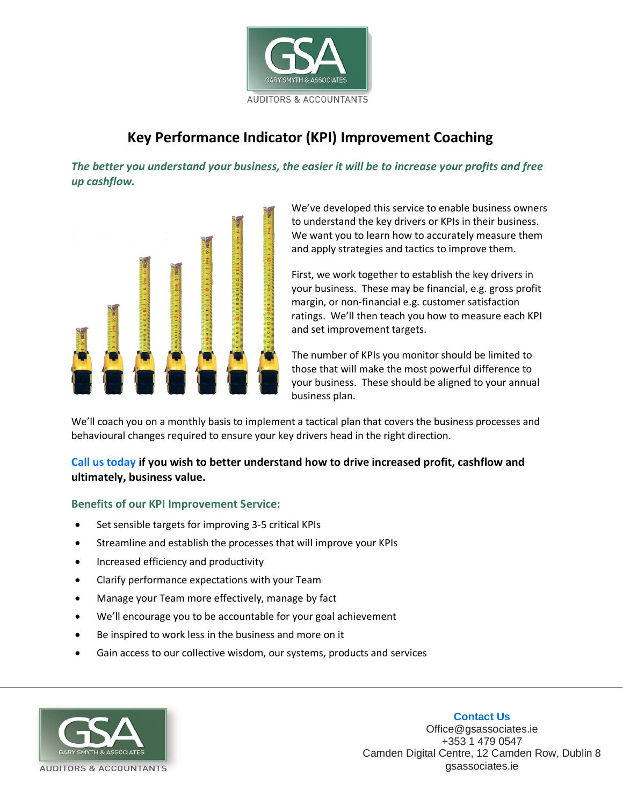

# **Key Performance Indicator (KPI) Improvement Coaching**

*The better you understand your business, the easier it will be to increase your profits and free up cashflow.*



We've developed this service to enable business owners to understand the key drivers or KPIs in their business. We want you to learn how to accurately measure them and apply strategies and tactics to improve them.

First, we work together to establish the key drivers in your business. These may be financial, e.g. gross profit margin, or non-financial e.g. customer satisfaction ratings. We'll then teach you how to measure each KPI and set improvement targets.

The number of KPIs you monitor should be limited to those that will make the most powerful difference to your business. These should be aligned to your annual business plan.

We'll coach you on a monthly basis to implement a tactical plan that covers the business processes and behavioural changes required to ensure your key drivers head in the right direction.

### **Call us today if you wish to better understand how to drive increased profit, cashflow and ultimately, business value.**

### **Benefits of our KPI Improvement Service:**

- Set sensible targets for improving 3-5 critical KPIs
- Streamline and establish the processes that will improve your KPIs
- Increased efficiency and productivity
- Clarify performance expectations with your Team
- Manage your Team more effectively, manage by fact
- We'll encourage you to be accountable for your goal achievement
- Be inspired to work less in the business and more on it
- Gain access to our collective wisdom, our systems, products and services



Office@gsassociates.ie +353 1 479 0547 Camden Digital Centre, 12 Camden Row, Dublin 8 gsassociates.ie

#### **Contact Us**